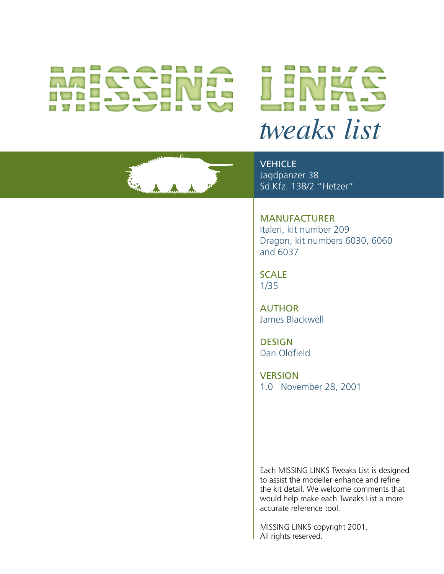# *tweaks list*

**VEHICLE** Jagdpanzer 38 Sd.Kfz. 138/2 "Hetzer"

MANUFACTURER Italeri, kit number 209 Dragon, kit numbers 6030, 6060 and 6037

**SCALE** 1/35

AUTHOR James Blackwell

**DESIGN** Dan Oldfield

**VERSION** 1.0 November 28, 2001

Each MISSING LINKS Tweaks List is designed to assist the modeller enhance and refine the kit detail. We welcome comments that would help make each Tweaks List a more accurate reference tool.

MISSING LINKS copyright 2001. All rights reserved.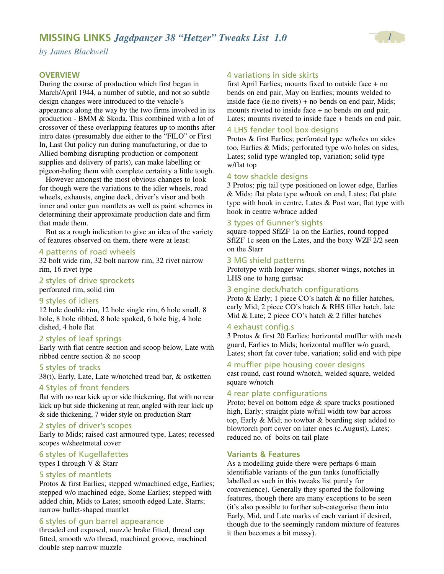#### **OVERVIEW**

During the course of production which first began in March/April 1944, a number of subtle, and not so subtle design changes were introduced to the vehicle's appearance along the way by the two firms involved in its production - BMM & Skoda. This combined with a lot of crossover of these overlapping features up to months after intro dates (presumably due either to the "FILO" or First In, Last Out policy run during manufacturing, or due to Allied bombing disrupting production or component supplies and delivery of parts), can make labelling or pigeon-holing them with complete certainty a little tough.

However amongst the most obvious changes to look for though were the variations to the idler wheels, road wheels, exhausts, engine deck, driver's visor and both inner and outer gun mantlets as well as paint schemes in determining their approximate production date and firm that made them.

But as a rough indication to give an idea of the variety of features observed on them, there were at least:

#### 4 patterns of road wheels

32 bolt wide rim, 32 bolt narrow rim, 32 rivet narrow rim, 16 rivet type

#### 2 styles of drive sprockets perforated rim, solid rim

#### 9 styles of idlers

12 hole double rim, 12 hole single rim, 6 hole small, 8 hole, 8 hole ribbed, 8 hole spoked, 6 hole big, 4 hole dished, 4 hole flat

#### 2 styles of leaf springs

Early with flat centre section and scoop below, Late with ribbed centre section & no scoop

#### 5 styles of tracks

38(t), Early, Late, Late w/notched tread bar, & ostketten

#### 4 Styles of front fenders

flat with no rear kick up or side thickening, flat with no rear kick up but side thickening at rear, angled with rear kick up & side thickening, 7 wider style on production Starr

#### 2 styles of driver's scopes

Early to Mids; raised cast armoured type, Lates; recessed scopes w/sheetmetal cover

# 6 styles of Kugellafettes

types I through V & Starr

# 5 styles of mantlets

Protos & first Earlies; stepped w/machined edge, Earlies; stepped w/o machined edge, Some Earlies; stepped with added chin, Mids to Lates; smooth edged Late, Starrs; narrow bullet-shaped mantlet

#### 6 styles of gun barrel appearance

threaded end exposed, muzzle brake fitted, thread cap fitted, smooth w/o thread, machined groove, machined double step narrow muzzle

#### 4 variations in side skirts

first April Earlies; mounts fixed to outside face + no bends on end pair, May on Earlies; mounts welded to inside face (ie.no rivets) + no bends on end pair, Mids; mounts riveted to inside face + no bends on end pair, Lates; mounts riveted to inside face + bends on end pair,

#### 4 LHS fender tool box designs

Protos & first Earlies; perforated type w/holes on sides too, Earlies & Mids; perforated type w/o holes on sides, Lates; solid type w/angled top, variation; solid type w/flat top

## 4 tow shackle designs

3 Protos; pig tail type positioned on lower edge, Earlies & Mids; flat plate type w/hook on end, Lates; flat plate type with hook in centre, Lates & Post war; flat type with hook in centre w/brace added

## 3 types of Gunner's sights

square-topped SflZF 1a on the Earlies, round-topped SflZF 1c seen on the Lates, and the boxy WZF 2/2 seen on the Starr

#### 3 MG shield patterns

Prototype with longer wings, shorter wings, notches in LHS one to hang gurtsac

#### 3 engine deck/hatch configurations

Proto & Early; 1 piece CO's hatch & no filler hatches, early Mid; 2 piece CO's hatch & RHS filler hatch, late Mid & Late; 2 piece CO's hatch & 2 filler hatches

#### 4 exhaust config.s

3 Protos & first 20 Earlies; horizontal muffler with mesh guard, Earlies to Mids; horizontal muffler w/o guard, Lates; short fat cover tube, variation; solid end with pipe

#### 4 muffler pipe housing cover designs

cast round, cast round w/notch, welded square, welded square w/notch

#### 4 rear plate configurations

Proto; bevel on bottom edge & spare tracks positioned high, Early; straight plate w/full width tow bar across top, Early & Mid; no towbar & boarding step added to blowtorch port cover on later ones (c.August), Lates; reduced no. of bolts on tail plate

#### **Variants & Features**

As a modelling guide there were perhaps 6 main identifiable variants of the gun tanks (unofficially labelled as such in this tweaks list purely for convenience). Generally they sported the following features, though there are many exceptions to be seen (it's also possible to further sub-categorise them into Early, Mid, and Late marks of each variant if desired, though due to the seemingly random mixture of features it then becomes a bit messy).

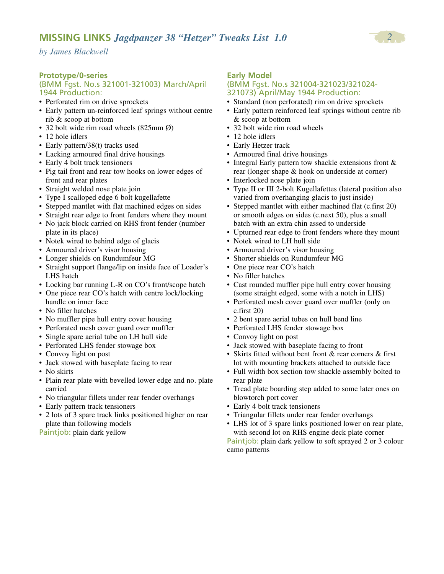# **Prototype/0-series**

## (BMM Fgst. No.s 321001-321003) March/April 1944 Production:

- Perforated rim on drive sprockets
- Early pattern un-reinforced leaf springs without centre rib & scoop at bottom
- 32 bolt wide rim road wheels (825mm Ø)
- 12 hole idlers
- Early pattern/38(t) tracks used
- Lacking armoured final drive housings
- Early 4 bolt track tensioners
- Pig tail front and rear tow hooks on lower edges of front and rear plates
- Straight welded nose plate join
- Type I scalloped edge 6 bolt kugellafette
- Stepped mantlet with flat machined edges on sides
- Straight rear edge to front fenders where they mount
- No jack block carried on RHS front fender (number plate in its place)
- Notek wired to behind edge of glacis
- Armoured driver's visor housing
- Longer shields on Rundumfeur MG
- Straight support flange/lip on inside face of Loader's LHS hatch
- Locking bar running L-R on CO's front/scope hatch
- One piece rear CO's hatch with centre lock/locking handle on inner face
- No filler hatches
- No muffler pipe hull entry cover housing
- Perforated mesh cover guard over muffler
- Single spare aerial tube on LH hull side
- Perforated LHS fender stowage box
- Convoy light on post
- Jack stowed with baseplate facing to rear
- No skirts
- Plain rear plate with bevelled lower edge and no. plate carried
- No triangular fillets under rear fender overhangs
- Early pattern track tensioners
- 2 lots of 3 spare track links positioned higher on rear plate than following models
- Paintjob: plain dark yellow

# **Early Model**

#### (BMM Fgst. No.s 321004-321023/321024- 321073) April/May 1944 Production:

- Standard (non perforated) rim on drive sprockets
- Early pattern reinforced leaf springs without centre rib & scoop at bottom
- 32 bolt wide rim road wheels
- 12 hole idlers
- Early Hetzer track
- Armoured final drive housings
- Integral Early pattern tow shackle extensions front & rear (longer shape & hook on underside at corner)
- Interlocked nose plate join
- Type II or III 2-bolt Kugellafettes (lateral position also varied from overhanging glacis to just inside)
- Stepped mantlet with either machined flat (c.first 20) or smooth edges on sides (c.next 50), plus a small batch with an extra chin assed to underside
- Upturned rear edge to front fenders where they mount
- Notek wired to LH hull side
- Armoured driver's visor housing
- Shorter shields on Rundumfeur MG
- One piece rear CO's hatch
- No filler hatches
- Cast rounded muffler pipe hull entry cover housing (some straight edged, some with a notch in LHS)
- Perforated mesh cover guard over muffler (only on c.first 20)
- 2 bent spare aerial tubes on hull bend line
- Perforated LHS fender stowage box
- Convoy light on post
- Jack stowed with baseplate facing to front
- Skirts fitted without bent front & rear corners & first lot with mounting brackets attached to outside face
- Full width box section tow shackle assembly bolted to rear plate
- Tread plate boarding step added to some later ones on blowtorch port cover
- Early 4 bolt track tensioners
- Triangular fillets under rear fender overhangs
- LHS lot of 3 spare links positioned lower on rear plate, with second lot on RHS engine deck plate corner

Paintjob: plain dark yellow to soft sprayed 2 or 3 colour camo patterns

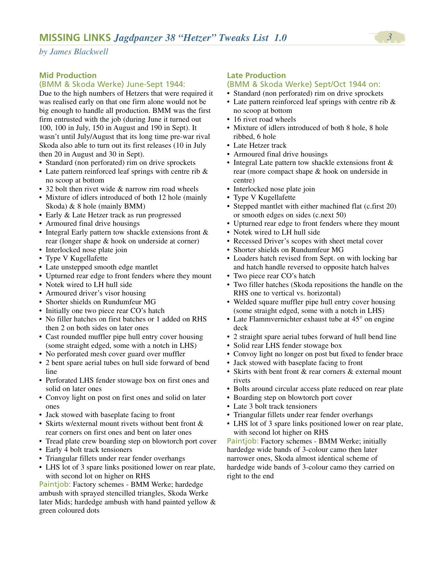# **Mid Production**

# (BMM & Skoda Werke) June-Sept 1944:

Due to the high numbers of Hetzers that were required it was realised early on that one firm alone would not be big enough to handle all production. BMM was the first firm entrusted with the job (during June it turned out 100, 100 in July, 150 in August and 190 in Sept). It wasn't until July/August that its long time pre-war rival Skoda also able to turn out its first releases (10 in July then 20 in August and 30 in Sept).

- Standard (non perforated) rim on drive sprockets
- Late pattern reinforced leaf springs with centre rib & no scoop at bottom
- 32 bolt then rivet wide & narrow rim road wheels
- Mixture of idlers introduced of both 12 hole (mainly Skoda) & 8 hole (mainly BMM)
- Early & Late Hetzer track as run progressed
- Armoured final drive housings
- Integral Early pattern tow shackle extensions front & rear (longer shape & hook on underside at corner)
- Interlocked nose plate join
- Type V Kugellafette
- Late unstepped smooth edge mantlet
- Upturned rear edge to front fenders where they mount
- Notek wired to LH hull side
- Armoured driver's visor housing
- Shorter shields on Rundumfeur MG
- Initially one two piece rear CO's hatch
- No filler hatches on first batches or 1 added on RHS then 2 on both sides on later ones
- Cast rounded muffler pipe hull entry cover housing (some straight edged, some with a notch in LHS)
- No perforated mesh cover guard over muffler
- 2 bent spare aerial tubes on hull side forward of bend line
- Perforated LHS fender stowage box on first ones and solid on later ones
- Convoy light on post on first ones and solid on later ones
- Jack stowed with baseplate facing to front
- Skirts w/external mount rivets without bent front & rear corners on first ones and bent on later ones
- Tread plate crew boarding step on blowtorch port cover
- Early 4 bolt track tensioners
- Triangular fillets under rear fender overhangs
- LHS lot of 3 spare links positioned lower on rear plate, with second lot on higher on RHS

Paintjob: Factory schemes - BMM Werke; hardedge ambush with sprayed stencilled triangles, Skoda Werke later Mids; hardedge ambush with hand painted yellow & green coloured dots

# **Late Production**

# (BMM & Skoda Werke) Sept/Oct 1944 on:

- Standard (non perforated) rim on drive sprockets
- Late pattern reinforced leaf springs with centre rib & no scoop at bottom
- 16 rivet road wheels
- Mixture of idlers introduced of both 8 hole, 8 hole ribbed, 6 hole
- Late Hetzer track
- Armoured final drive housings
- Integral Late pattern tow shackle extensions front & rear (more compact shape & hook on underside in centre)
- Interlocked nose plate join
- Type V Kugellafette
- Stepped mantlet with either machined flat (c.first 20) or smooth edges on sides (c.next 50)
- Upturned rear edge to front fenders where they mount
- Notek wired to LH hull side
- Recessed Driver's scopes with sheet metal cover
- Shorter shields on Rundumfeur MG
- Loaders hatch revised from Sept. on with locking bar and hatch handle reversed to opposite hatch halves
- Two piece rear CO's hatch
- Two filler hatches (Skoda repositions the handle on the RHS one to vertical vs. horizontal)
- Welded square muffler pipe hull entry cover housing (some straight edged, some with a notch in LHS)
- Late Flammvernichter exhaust tube at 45° on engine deck
- 2 straight spare aerial tubes forward of hull bend line
- Solid rear LHS fender stowage box
- Convoy light no longer on post but fixed to fender brace
- Jack stowed with baseplate facing to front
- Skirts with bent front & rear corners & external mount rivets
- Bolts around circular access plate reduced on rear plate
- Boarding step on blowtorch port cover
- Late 3 bolt track tensioners
- Triangular fillets under rear fender overhangs
- LHS lot of 3 spare links positioned lower on rear plate, with second lot higher on RHS

Paintjob: Factory schemes - BMM Werke; initially hardedge wide bands of 3-colour camo then later narrower ones, Skoda almost identical scheme of hardedge wide bands of 3-colour camo they carried on right to the end

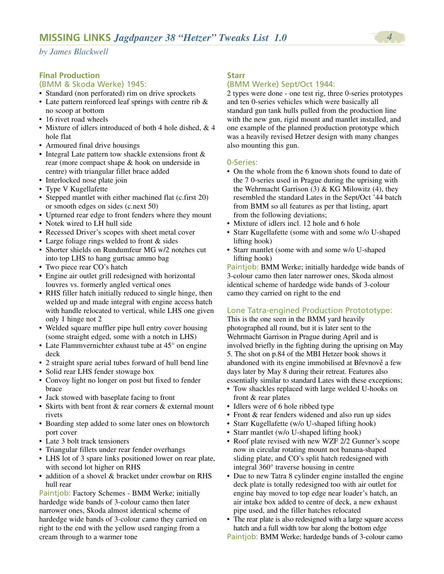# **Final Production**

# (BMM & Skoda Werke) 1945:

- Standard (non perforated) rim on drive sprockets
- Late pattern reinforced leaf springs with centre rib & no scoop at bottom
- 16 rivet road wheels
- Mixture of idlers introduced of both 4 hole dished, & 4 hole flat
- Armoured final drive housings
- Integral Late pattern tow shackle extensions front  $\&$ rear (more compact shape & hook on underside in centre) with triangular fillet brace added
- Interlocked nose plate join
- Type V Kugellafette
- Stepped mantlet with either machined flat (c.first 20) or smooth edges on sides (c.next 50)
- Upturned rear edge to front fenders where they mount
- Notek wired to LH hull side
- Recessed Driver's scopes with sheet metal cover
- Large foliage rings welded to front & sides
- Shorter shields on Rundumfeur MG w/2 notches cut into top LHS to hang gurtsac ammo bag
- Two piece rear CO's hatch
- Engine air outlet grill redesigned with horizontal louvres vs. formerly angled vertical ones
- RHS filler hatch initially reduced to single hinge, then welded up and made integral with engine access hatch with handle relocated to vertical, while LHS one given only 1 hinge not 2
- Welded square muffler pipe hull entry cover housing (some straight edged, some with a notch in LHS)
- Late Flammvernichter exhaust tube at 45° on engine deck
- 2 straight spare aerial tubes forward of hull bend line
- Solid rear LHS fender stowage box
- Convoy light no longer on post but fixed to fender brace
- Jack stowed with baseplate facing to front
- Skirts with bent front & rear corners & external mount rivets
- Boarding step added to some later ones on blowtorch port cover
- Late 3 bolt track tensioners
- Triangular fillets under rear fender overhangs
- LHS lot of 3 spare links positioned lower on rear plate, with second lot higher on RHS
- addition of a shovel & bracket under crowbar on RHS hull rear

Paintjob: Factory Schemes - BMM Werke; initially hardedge wide bands of 3-colour camo then later narrower ones, Skoda almost identical scheme of hardedge wide bands of 3-colour camo they carried on right to the end with the yellow used ranging from a cream through to a warmer tone

# **Starr**

# (BMM Werke) Sept/Oct 1944:

2 types were done - one test rig, three 0-series prototypes and ten 0-series vehicles which were basically all standard gun tank hulls pulled from the production line with the new gun, rigid mount and mantlet installed, and one example of the planned production prototype which was a heavily revised Hetzer design with many changes also mounting this gun.

# 0-Series:

- On the whole from the 6 known shots found to date of the 7 0-series used in Prague during the uprising with the Wehrmacht Garrison  $(3)$  & KG Milowitz  $(4)$ , they resembled the standard Lates in the Sept/Oct '44 batch from BMM so all features as per that listing, apart from the following deviations;
- Mixture of idlers incl. 12 hole and 6 hole
- Starr Kugellafette (some with and some w/o U-shaped lifting hook)
- Starr mantlet (some with and some w/o U-shaped lifting hook)

Paintjob: BMM Werke; initially hardedge wide bands of 3-colour camo then later narrower ones, Skoda almost identical scheme of hardedge wide bands of 3-colour camo they carried on right to the end

# Lone Tatra-engined Production Protototype:

This is the one seen in the BMM yard heavily photographed all round, but it is later sent to the Wehrmacht Garrison in Prague during April and is involved briefly in the fighting during the uprising on May 5. The shot on p.84 of the MBI Hetzer book shows it abandoned with its engine immobilised at Břevnově a few days later by May 8 during their retreat. Features also essentially similar to standard Lates with these exceptions;

- Tow shackles replaced with large welded U-hooks on front & rear plates
- Idlers were of 6 hole ribbed type
- Front & rear fenders widened and also run up sides
- Starr Kugellafette (w/o U-shaped lifting hook)
- Starr mantlet (w/o U-shaped lifting hook)
- Roof plate revised with new WZF 2/2 Gunner's scope now in circular rotating mount not banana-shaped sliding plate, and CO's split hatch redesigned with integral 360° traverse housing in centre
- Due to new Tatra 8 cylinder engine installed the engine deck plate is totally redesigned too with air outlet for engine bay moved to top edge near loader's hatch, an air intake box added to centre of deck, a new exhaust pipe used, and the filler hatches relocated
- The rear plate is also redesigned with a large square access hatch and a full width tow bar along the bottom edge
- Paintjob: BMM Werke; hardedge bands of 3-colour camo

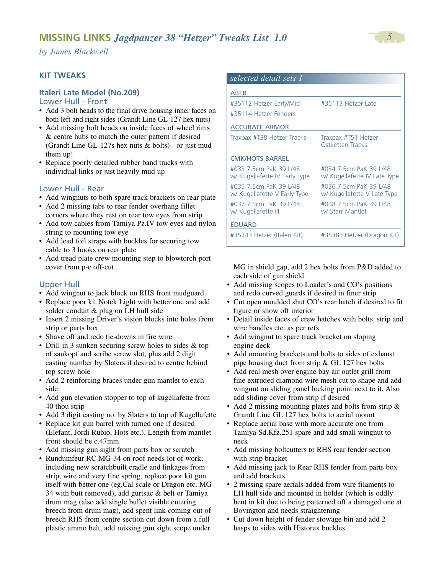# **KIT TWEAKS**

# **Italeri Late Model (No.209)**

#### Lower Hull - Front

- Add 3 bolt heads to the final drive housing inner faces on both left and right sides (Grandt Line GL-127 hex nuts)
- Add missing bolt heads on inside faces of wheel rims & centre hubs to match the outer pattern if desired (Grandt Line GL-127s hex nuts & bolts) - or just mud them up!
- Replace poorly detailed rubber band tracks with individual links or just heavily mud up

# Lower Hull - Rear

- Add wingnuts to both spare track brackets on rear plate
- Add 2 missing tabs to rear fender overhang fillet corners where they rest on rear tow eyes from strip
- Add tow cables from Tamiya Pz.IV tow eyes and nylon string to mounting tow eye
- Add lead foil straps with buckles for securing tow cable to 3 hooks on rear plate
- Add tread plate crew mounting step to blowtorch port cover from p-e off-cut

# Upper Hull

- Add wingnut to jack block on RHS front mudguard
- Replace poor kit Notek Light with better one and add solder conduit & plug on LH hull side
- Insert 2 missing Driver's vision blocks into holes from strip or parts box
- Shave off and redo tie-downs in fire wire
- Drill in 3 sunken securing screw holes to sides & top of saukopf and scribe screw slot, plus add 2 digit casting number by Slaters if desired to centre behind top screw hole
- Add 2 reinforcing braces under gun mantlet to each side
- Add gun elevation stopper to top of kugellafette from 40 thou strip
- Add 3 digit casting no. by Slaters to top of Kugellafette
- Replace kit gun barrel with turned one if desired (Elefant, Jordi Rubio, Hots etc.). Length from mantlet front should be c.47mm
- Add missing gun sight from parts box or scratch
- Rundumfeur RC MG-34 on roof needs lot of work; including new scratchbuilt cradle and linkages from strip, wire and very fine spring, replace poor kit gun itself with better one (eg.Cal-scale or Dragon etc. MG-34 with butt removed), add gurtsac & belt or Tamiya drum mag (also add single bullet visible entering breech from drum mag), add spent link coming out of breech RHS from centre section cut down from a full plastic ammo belt, add missing gun sight scope under

| selected detail sets 1                                  |                                                        |
|---------------------------------------------------------|--------------------------------------------------------|
| ABER                                                    |                                                        |
| #35112 Hetzer Early/Mid                                 | #35113 Hetzer Late                                     |
| #35114 Hetzer Fenders                                   |                                                        |
| <b>ACCURATE ARMOR</b>                                   |                                                        |
| Traxpax #T38 Hetzer Tracks                              | Traxpax #T51 Hetzer<br>Ostketten Tracks                |
| <b>CMK/HOTS BARREL</b>                                  |                                                        |
| #033 7.5cm PaK 39 L/48<br>w/ Kugellafette IV Early Type | #034 7.5cm PaK 39 L/48<br>w/ Kugellafette IV Late Type |
| #035 7.5cm PaK 39 L/48<br>w/ Kugellafette V Early Type  | #036 7.5cm PaK 39 L/48<br>w/ Kugellafette V Late Type  |
| #037 7 5cm PaK 39 L/48<br>w/ Kugellafette III           | #038 7 5cm PaK 39 1/48<br>w/ Starr Mantlet             |
| <b>EDUARD</b>                                           |                                                        |
| #35343 Hetzer (Italeri Kit)                             | #35385 Hetzer (Dragon Kit)                             |

MG in shield gap, add 2 hex bolts from P&D added to each side of gun shield

- Add missing scopes to Loader's and CO's positions and redo curved guards if desired in finer strip
- Cut open moulded shut CO's rear hatch if desired to fit figure or show off interior
- Detail inside faces of crew hatches with bolts, strip and wire handles etc. as per refs
- Add wingnut to spare track bracket on sloping engine deck
- Add mounting brackets and bolts to sides of exhaust pipe housing duct from strip & GL 127 hex bolts
- Add real mesh over engine bay air outlet grill from fine extruded diamond wire mesh cut to shape and add wingnut on sliding panel locking point next to it. Also add sliding cover from strip if desired
- Add 2 missing mounting plates and bolts from strip & Grandt Line GL 127 hex bolts to aerial mount
- Replace aerial base with more accurate one from Tamiya Sd.Kfz.251 spare and add small wingnut to neck
- Add missing boltcutters to RHS rear fender section with strip bracket
- Add missing jack to Rear RHS fender from parts box and add brackets
- 2 missing spare aerials added from wire filaments to LH hull side and mounted in holder (which is oddly bent in kit due to being patterned off a damaged one at Bovington and needs straightening
- Cut down height of fender stowage bin and add 2 hasps to sides with Historex buckles

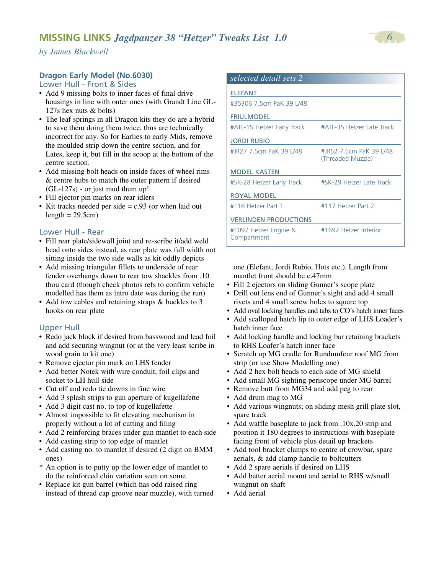# **Dragon Early Model (No.6030)**

Lower Hull - Front & Sides

- Add 9 missing bolts to inner faces of final drive housings in line with outer ones (with Grandt Line GL-127s hex nuts & bolts)
- The leaf springs in all Dragon kits they do are a hybrid to save them doing them twice, thus are technically incorrect for any. So for Earlies to early Mids, remove the moulded strip down the centre section, and for Lates, keep it, but fill in the scoop at the bottom of the centre section.
- Add missing bolt heads on inside faces of wheel rims & centre hubs to match the outer pattern if desired (GL-127s) - or just mud them up!
- Fill ejector pin marks on rear idlers
- Kit tracks needed per side = c.93 (or when laid out length  $= 29.5$ cm $)$

#### Lower Hull - Rear

- Fill rear plate/sidewall joint and re-scribe it/add weld bead onto sides instead, as rear plate was full width not sitting inside the two side walls as kit oddly depicts
- Add missing triangular fillets to underside of rear fender overhangs down to rear tow shackles from .10 thou card (though check photos refs to confirm vehicle modelled has them as intro date was during the run)
- Add tow cables and retaining straps & buckles to 3 hooks on rear plate

# Upper Hull

- Redo jack block if desired from basswood and lead foil and add securing wingnut (or at the very least scribe in wood grain to kit one)
- Remove ejector pin mark on LHS fender
- Add better Notek with wire conduit, foil clips and socket to LH hull side
- Cut off and redo tie downs in fine wire
- Add 3 splash strips to gun aperture of kugellafette
- Add 3 digit cast no. to top of kugellafette
- Almost impossible to fit elevating mechanism in properly without a lot of cutting and filing
- Add 2 reinforcing braces under gun mantlet to each side
- Add casting strip to top edge of mantlet
- Add casting no. to mantlet if desired (2 digit on BMM ones)
- \* An option is to putty up the lower edge of mantlet to do the reinforced chin variation seen on some
- Replace kit gun barrel (which has odd raised ring instead of thread cap groove near muzzle), with turned

| selected detail sets 2               |                                              |
|--------------------------------------|----------------------------------------------|
| <b>ELEFANT</b>                       |                                              |
| #35306 7.5cm PaK 39 L/48             |                                              |
| <b>FRIULMODEL</b>                    |                                              |
| #ATL-15 Hetzer Early Track           | #ATL-35 Hetzer Late Track                    |
| <b>JORDI RUBIO</b>                   |                                              |
| #JR27 7 5cm PaK 39 L/48              | #JR52 7.5cm PaK 39 L/48<br>(Threaded Muzzle) |
| <b>MODEL KASTEN</b>                  |                                              |
| #SK-28 Hetzer Early Track            | #SK-29 Hetzer Late Track                     |
| ROYAL MODEL                          |                                              |
| #116 Hetzer Part 1                   | #117 Hetzer Part 2                           |
| <b>VERLINDEN PRODUCTIONS</b>         |                                              |
| #1097 Hetzer Engine &<br>Compartment | #1692 Hetzer Interior                        |

one (Elefant, Jordi Rubio, Hots etc.). Length from mantlet front should be c.47mm

- Fill 2 ejectors on sliding Gunner's scope plate
- Drill out lens end of Gunner's sight and add 4 small rivets and 4 small screw holes to square top
- Add oval locking handles and tabs to CO's hatch inner faces
- Add scalloped hatch lip to outer edge of LHS Loader's hatch inner face
- Add locking handle and locking bar retaining brackets to RHS Loafer's hatch inner face
- Scratch up MG cradle for Rundumfeur roof MG from strip (or use Show Modelling one)
- Add 2 hex bolt heads to each side of MG shield
- Add small MG sighting periscope under MG barrel
- Remove butt from MG34 and add peg to rear
- Add drum mag to MG
- Add various wingnuts; on sliding mesh grill plate slot, spare track
- Add waffle baseplate to jack from .10x.20 strip and position it 180 degrees to instructions with baseplate facing front of vehicle plus detail up brackets
- Add tool bracket clamps to centre of crowbar, spare aerials, & add clamp handle to boltcutters
- Add 2 spare aerials if desired on LHS
- Add better aerial mount and aerial to RHS w/small wingnut on shaft
- Add aerial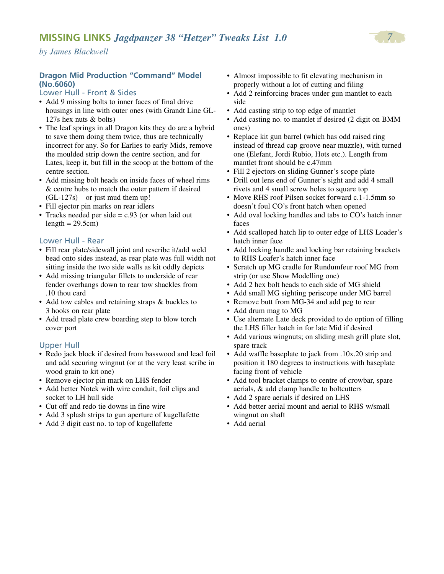# **Dragon Mid Production "Command" Model (No.6060)**

# Lower Hull - Front & Sides

- Add 9 missing bolts to inner faces of final drive housings in line with outer ones (with Grandt Line GL-127s hex nuts & bolts)
- The leaf springs in all Dragon kits they do are a hybrid to save them doing them twice, thus are technically incorrect for any. So for Earlies to early Mids, remove the moulded strip down the centre section, and for Lates, keep it, but fill in the scoop at the bottom of the centre section.
- Add missing bolt heads on inside faces of wheel rims & centre hubs to match the outer pattern if desired  $(GL-127s)$  – or just mud them up!
- Fill ejector pin marks on rear idlers
- Tracks needed per side = c.93 (or when laid out length  $= 29.5$ cm $)$

# Lower Hull - Rear

- Fill rear plate/sidewall joint and rescribe it/add weld bead onto sides instead, as rear plate was full width not sitting inside the two side walls as kit oddly depicts
- Add missing triangular fillets to underside of rear fender overhangs down to rear tow shackles from .10 thou card
- Add tow cables and retaining straps & buckles to 3 hooks on rear plate
- Add tread plate crew boarding step to blow torch cover port

# Upper Hull

- Redo jack block if desired from basswood and lead foil and add securing wingnut (or at the very least scribe in wood grain to kit one)
- Remove ejector pin mark on LHS fender
- Add better Notek with wire conduit, foil clips and socket to LH hull side
- Cut off and redo tie downs in fine wire
- Add 3 splash strips to gun aperture of kugellafette
- Add 3 digit cast no. to top of kugellafette
- Almost impossible to fit elevating mechanism in properly without a lot of cutting and filing
- Add 2 reinforcing braces under gun mantlet to each side
- Add casting strip to top edge of mantlet
- Add casting no. to mantlet if desired (2 digit on BMM ones)
- Replace kit gun barrel (which has odd raised ring instead of thread cap groove near muzzle), with turned one (Elefant, Jordi Rubio, Hots etc.). Length from mantlet front should be c.47mm
- Fill 2 ejectors on sliding Gunner's scope plate
- Drill out lens end of Gunner's sight and add 4 small rivets and 4 small screw holes to square top
- Move RHS roof Pilsen socket forward c.1-1.5mm so doesn't foul CO's front hatch when opened
- Add oval locking handles and tabs to CO's hatch inner faces
- Add scalloped hatch lip to outer edge of LHS Loader's hatch inner face
- Add locking handle and locking bar retaining brackets to RHS Loafer's hatch inner face
- Scratch up MG cradle for Rundumfeur roof MG from strip (or use Show Modelling one)
- Add 2 hex bolt heads to each side of MG shield
- Add small MG sighting periscope under MG barrel
- Remove butt from MG-34 and add peg to rear
- Add drum mag to MG
- Use alternate Late deck provided to do option of filling the LHS filler hatch in for late Mid if desired
- Add various wingnuts; on sliding mesh grill plate slot, spare track
- Add waffle baseplate to jack from .10x.20 strip and position it 180 degrees to instructions with baseplate facing front of vehicle
- Add tool bracket clamps to centre of crowbar, spare aerials, & add clamp handle to boltcutters
- Add 2 spare aerials if desired on LHS
- Add better aerial mount and aerial to RHS w/small wingnut on shaft
- Add aerial

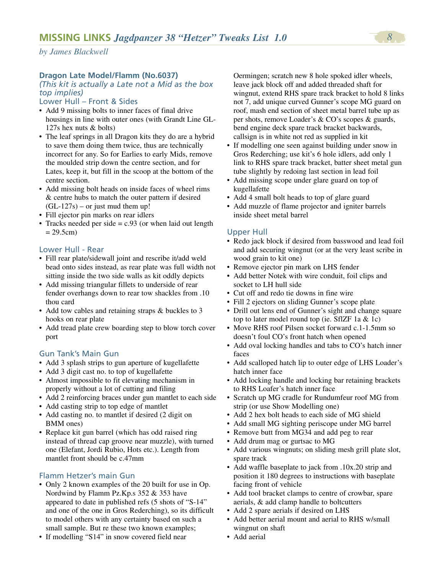# **Dragon Late Model/Flamm (No.6037)**

# *(This kit is actually a Late not a Mid as the box top implies)*

# Lower Hull – Front & Sides

- Add 9 missing bolts to inner faces of final drive housings in line with outer ones (with Grandt Line GL-127s hex nuts & bolts)
- The leaf springs in all Dragon kits they do are a hybrid to save them doing them twice, thus are technically incorrect for any. So for Earlies to early Mids, remove the moulded strip down the centre section, and for Lates, keep it, but fill in the scoop at the bottom of the centre section.
- Add missing bolt heads on inside faces of wheel rims & centre hubs to match the outer pattern if desired  $(GL-127s)$  – or just mud them up!
- Fill ejector pin marks on rear idlers
- Tracks needed per side = c.93 (or when laid out length  $= 29.5$ cm)

#### Lower Hull - Rear

- Fill rear plate/sidewall joint and rescribe it/add weld bead onto sides instead, as rear plate was full width not sitting inside the two side walls as kit oddly depicts
- Add missing triangular fillets to underside of rear fender overhangs down to rear tow shackles from .10 thou card
- Add tow cables and retaining straps & buckles to 3 hooks on rear plate
- Add tread plate crew boarding step to blow torch cover port

# Gun Tank's Main Gun

- Add 3 splash strips to gun aperture of kugellafette
- Add 3 digit cast no. to top of kugellafette
- Almost impossible to fit elevating mechanism in properly without a lot of cutting and filing
- Add 2 reinforcing braces under gun mantlet to each side
- Add casting strip to top edge of mantlet
- Add casting no. to mantlet if desired (2 digit on BMM ones)
- Replace kit gun barrel (which has odd raised ring) instead of thread cap groove near muzzle), with turned one (Elefant, Jordi Rubio, Hots etc.). Length from mantlet front should be c.47mm

# Flamm Hetzer's main Gun

- Only 2 known examples of the 20 built for use in Op. Nordwind by Flamm Pz.Kp.s 352 & 353 have appeared to date in published refs (5 shots of "S-14" and one of the one in Gros Rederching), so its difficult to model others with any certainty based on such a small sample. But re these two known examples;
- If modelling "S14" in snow covered field near

Oermingen; scratch new 8 hole spoked idler wheels, leave jack block off and added threaded shaft for wingnut, extend RHS spare track bracket to hold 8 links not 7, add unique curved Gunner's scope MG guard on roof, mash end section of sheet metal barrel tube up as per shots, remove Loader's & CO's scopes & guards, bend engine deck spare track bracket backwards, callsign is in white not red as supplied in kit

- If modelling one seen against building under snow in Gros Rederching; use kit's 6 hole idlers, add only 1 link to RHS spare track bracket, batter sheet metal gun tube slightly by redoing last section in lead foil
- Add missing scope under glare guard on top of kugellafette
- Add 4 small bolt heads to top of glare guard
- Add muzzle of flame projector and igniter barrels inside sheet metal barrel

## Upper Hull

- Redo jack block if desired from basswood and lead foil and add securing wingnut (or at the very least scribe in wood grain to kit one)
- Remove ejector pin mark on LHS fender
- Add better Notek with wire conduit, foil clips and socket to LH hull side
- Cut off and redo tie downs in fine wire
- Fill 2 ejectors on sliding Gunner's scope plate
- Drill out lens end of Gunner's sight and change square top to later model round top (ie. SflZF 1a  $& 1c$ )
- Move RHS roof Pilsen socket forward c.1-1.5mm so doesn't foul CO's front hatch when opened
- Add oval locking handles and tabs to CO's hatch inner faces
- Add scalloped hatch lip to outer edge of LHS Loader's hatch inner face
- Add locking handle and locking bar retaining brackets to RHS Loafer's hatch inner face
- Scratch up MG cradle for Rundumfeur roof MG from strip (or use Show Modelling one)
- Add 2 hex bolt heads to each side of MG shield
- Add small MG sighting periscope under MG barrel
- Remove butt from MG34 and add peg to rear
- Add drum mag or gurtsac to MG
- Add various wingnuts; on sliding mesh grill plate slot, spare track
- Add waffle baseplate to jack from .10x.20 strip and position it 180 degrees to instructions with baseplate facing front of vehicle
- Add tool bracket clamps to centre of crowbar, spare aerials, & add clamp handle to boltcutters
- Add 2 spare aerials if desired on LHS
- Add better aerial mount and aerial to RHS w/small wingnut on shaft
- Add aerial